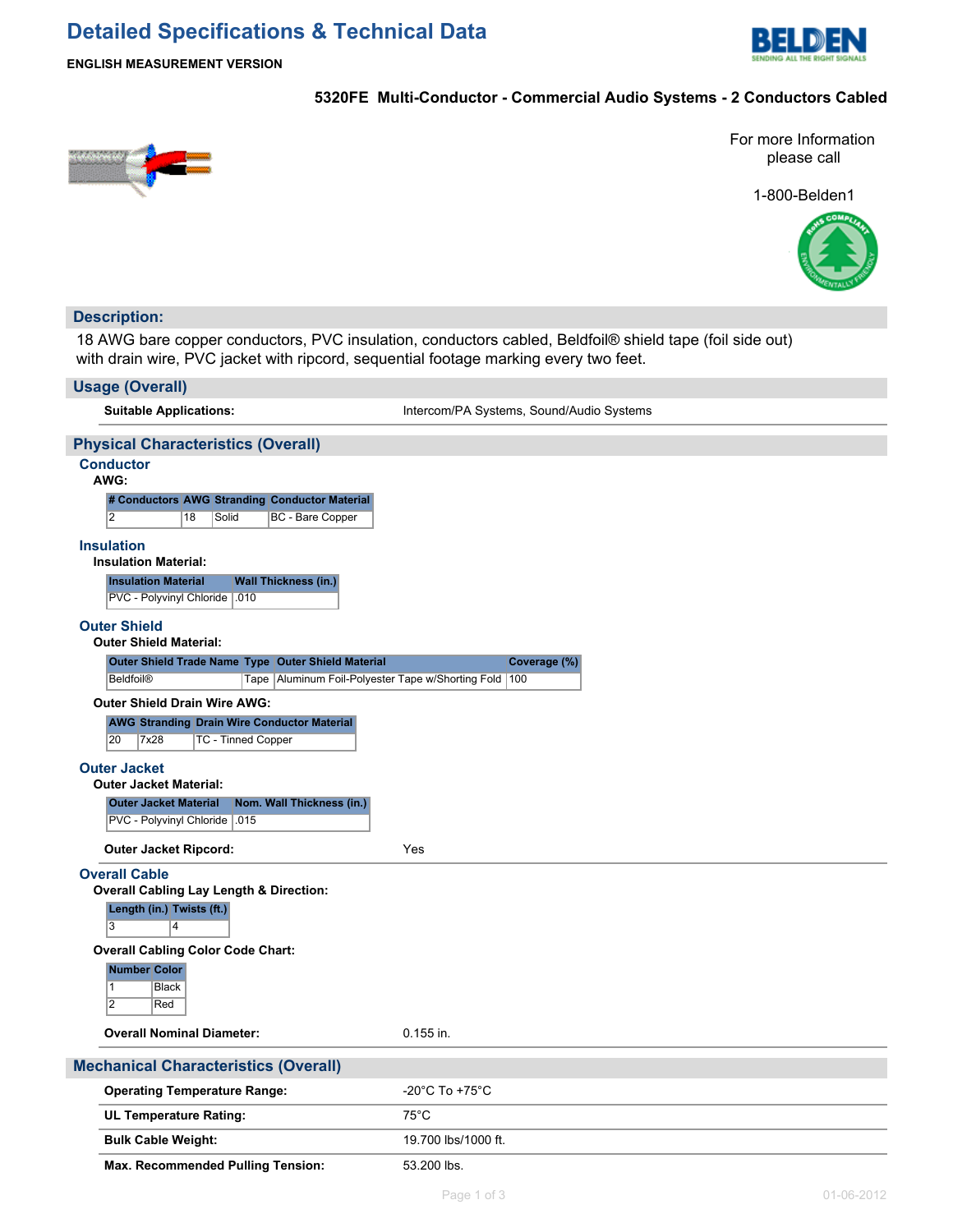## **Detailed Specifications & Technical Data**



**ENGLISH MEASUREMENT VERSION**

#### **5320FE Multi-Conductor - Commercial Audio Systems - 2 Conductors Cabled**



For more Information please call

1-800-Belden1



## **Description:** 18 AWG bare copper conductors, PVC insulation, conductors cabled, Beldfoil® shield tape (foil side out) with drain wire, PVC jacket with ripcord, sequential footage marking every two feet. **Usage (Overall) Suitable Applications:** Intercom/PA Systems, Sound/Audio Systems **Physical Characteristics (Overall) Conductor AWG: # Conductors AWG Stranding Conductor Material** 2 18 Solid BC - Bare Copper **Insulation Insulation Material: Insulation Material Wall Thickness (in.)** PVC - Polyvinyl Chloride .010 **Outer Shield Outer Shield Material: Outer Shield Trade Name Type Outer Shield Material Coverage (%)** Beldfoil® Tape Aluminum Foil-Polyester Tape w/Shorting Fold 100 **Outer Shield Drain Wire AWG: AWG Stranding Drain Wire Conductor Material** 20 7x28 TC - Tinned Copper **Outer Jacket Outer Jacket Material: Outer Jacket Material Nom. Wall Thickness (in.)** PVC - Polyvinyl Chloride .015 **Outer Jacket Ripcord:** Yes **Overall Cable Overall Cabling Lay Length & Direction: Length (in.) Twists (ft.)** 3 4 **Overall Cabling Color Code Chart: Number Color** 1 Black 2 Red **Overall Nominal Diameter:** 0.155 in. **Mechanical Characteristics (Overall) Operating Temperature Range:** Fig. 20°C To +75°C **UL Temperature Rating:** 75°C **Bulk Cable Weight:** 19.700 lbs/1000 ft.

Max. Recommended Pulling Tension: 53.200 lbs.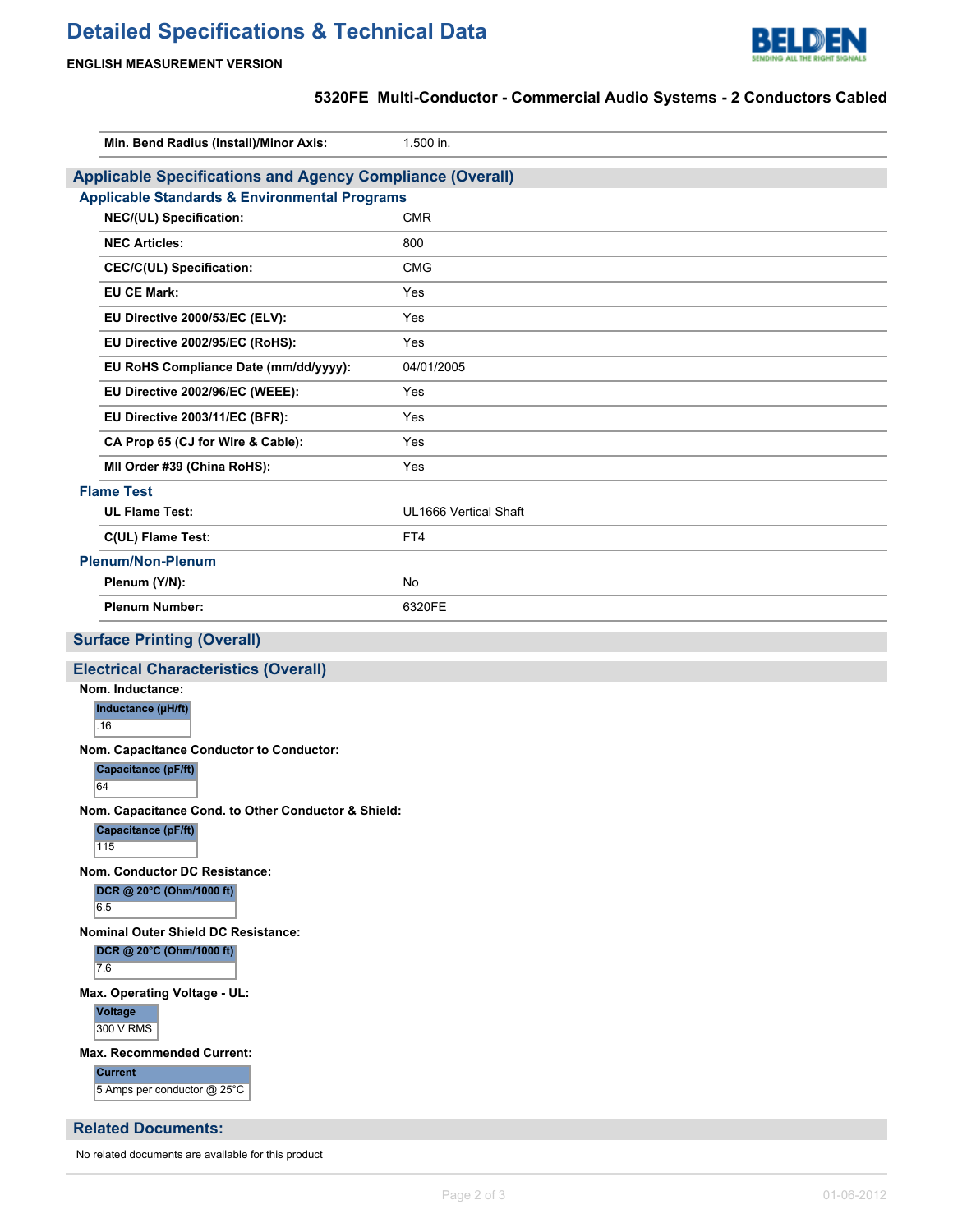# **Detailed Specifications & Technical Data**



#### **ENGLISH MEASUREMENT VERSION**

No related documents are available for this product

### **5320FE Multi-Conductor - Commercial Audio Systems - 2 Conductors Cabled**

| Min. Bend Radius (Install)/Minor Axis:                           | 1.500 in.             |
|------------------------------------------------------------------|-----------------------|
| <b>Applicable Specifications and Agency Compliance (Overall)</b> |                       |
| <b>Applicable Standards &amp; Environmental Programs</b>         |                       |
| NEC/(UL) Specification:                                          | <b>CMR</b>            |
| <b>NEC Articles:</b>                                             | 800                   |
| <b>CEC/C(UL) Specification:</b>                                  | <b>CMG</b>            |
| <b>EU CE Mark:</b>                                               | Yes                   |
| EU Directive 2000/53/EC (ELV):                                   | Yes                   |
| EU Directive 2002/95/EC (RoHS):                                  | Yes                   |
| EU RoHS Compliance Date (mm/dd/yyyy):                            | 04/01/2005            |
| EU Directive 2002/96/EC (WEEE):                                  | Yes                   |
| EU Directive 2003/11/EC (BFR):                                   | Yes                   |
| CA Prop 65 (CJ for Wire & Cable):                                | Yes                   |
| MII Order #39 (China RoHS):                                      | Yes                   |
| <b>Flame Test</b>                                                |                       |
| <b>UL Flame Test:</b>                                            | UL1666 Vertical Shaft |
| C(UL) Flame Test:                                                | FT4                   |
| <b>Plenum/Non-Plenum</b>                                         |                       |
| Plenum (Y/N):                                                    | No                    |
| <b>Plenum Number:</b>                                            | 6320FE                |
|                                                                  |                       |
| <b>Surface Printing (Overall)</b>                                |                       |
| <b>Electrical Characteristics (Overall)</b>                      |                       |
| Nom. Inductance:                                                 |                       |
| Inductance (µH/ft)<br>.16                                        |                       |
| Nom. Capacitance Conductor to Conductor:                         |                       |
| <b>Capacitance (pF/ft)</b><br>64                                 |                       |
| Nom. Capacitance Cond. to Other Conductor & Shield:              |                       |
| <b>Capacitance (pF/ft)</b><br>115                                |                       |
| Nom. Conductor DC Resistance:                                    |                       |
| DCR @ 20°C (Ohm/1000 ft)<br>6.5                                  |                       |
| Nominal Outer Shield DC Resistance:                              |                       |
| DCR @ 20°C (Ohm/1000 ft)<br>7.6                                  |                       |
| Max. Operating Voltage - UL:                                     |                       |
| <b>Voltage</b><br>300 V RMS                                      |                       |
| <b>Max. Recommended Current:</b>                                 |                       |
| <b>Current</b><br>5 Amps per conductor @ 25°C                    |                       |